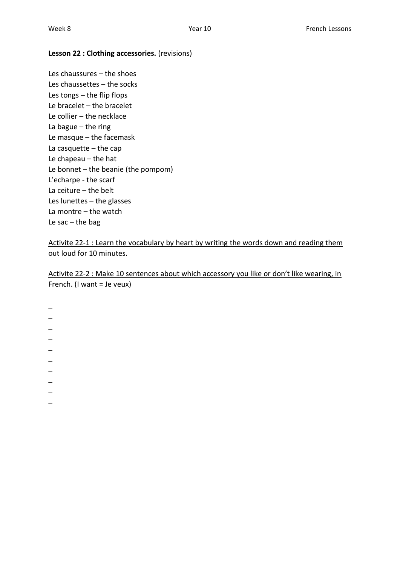#### **Lesson 22 : Clothing accessories.** (revisions)

Les chaussures – the shoes Les chaussettes – the socks Les tongs – the flip flops Le bracelet – the bracelet Le collier – the necklace La bague – the ring Le masque – the facemask La casquette  $-$  the cap Le chapeau – the hat Le bonnet – the beanie (the pompom) L'echarpe - the scarf La ceiture – the belt Les lunettes – the glasses La montre – the watch Le sac  $-$  the bag

Activite 22-1 : Learn the vocabulary by heart by writing the words down and reading them out loud for 10 minutes.

Activite 22-2 : Make 10 sentences about which accessory you like or don't like wearing, in French. (I want = Je veux)

\_  $\overline{\phantom{0}}$  $\overline{\phantom{0}}$  $\overline{\phantom{0}}$ \_ \_  $\overline{a}$ \_  $\overline{\phantom{a}}$  $\overline{\phantom{0}}$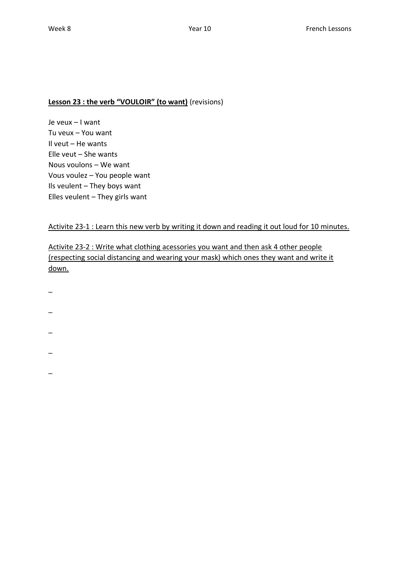## **Lesson 23 : the verb "VOULOIR" (to want)** (revisions)

Je veux – I want Tu veux – You want Il veut – He wants Elle veut – She wants Nous voulons – We want Vous voulez – You people want Ils veulent – They boys want Elles veulent – They girls want

### Activite 23-1 : Learn this new verb by writing it down and reading it out loud for 10 minutes.

Activite 23-2 : Write what clothing acessories you want and then ask 4 other people (respecting social distancing and wearing your mask) which ones they want and write it down.

- $\overline{\phantom{a}}$
- \_
- 
- $\overline{\phantom{0}}$
- \_
- 
- \_